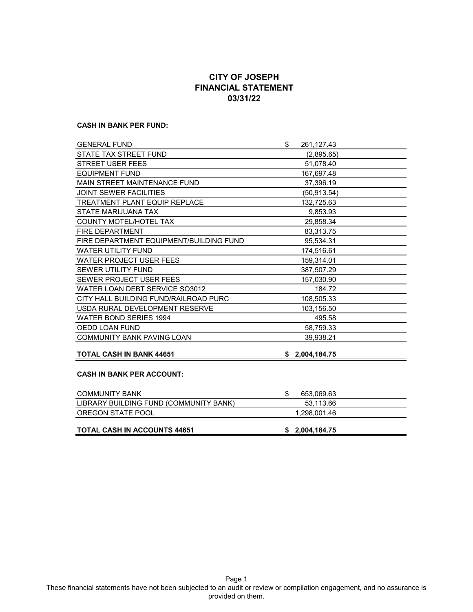# **CITY OF JOSEPH FINANCIAL STATEMENT 03/31/22**

#### **CASH IN BANK PER FUND:**

| <b>GENERAL FUND</b>                     | \$<br>261,127.43 |  |
|-----------------------------------------|------------------|--|
| STATE TAX STREET FUND                   | (2,895.65)       |  |
| <b>STREET USER FEES</b>                 | 51,078.40        |  |
| <b>EQUIPMENT FUND</b>                   | 167,697.48       |  |
| MAIN STREET MAINTENANCE FUND            | 37,396.19        |  |
| <b>JOINT SEWER FACILITIES</b>           | (50, 913.54)     |  |
| <b>TREATMENT PLANT EQUIP REPLACE</b>    | 132,725.63       |  |
| STATE MARIJUANA TAX                     | 9,853.93         |  |
| COUNTY MOTEL/HOTEL TAX                  | 29,858.34        |  |
| <b>FIRE DEPARTMENT</b>                  | 83,313.75        |  |
| FIRE DEPARTMENT EQUIPMENT/BUILDING FUND | 95,534.31        |  |
| <b>WATER UTILITY FUND</b>               | 174,516.61       |  |
| <b>WATER PROJECT USER FEES</b>          | 159,314.01       |  |
| <b>SEWER UTILITY FUND</b>               | 387,507.29       |  |
| SEWER PROJECT USER FEES                 | 157,030.90       |  |
| WATER LOAN DEBT SERVICE SO3012          | 184.72           |  |
| CITY HALL BUILDING FUND/RAILROAD PURC   | 108,505.33       |  |
| USDA RURAL DEVELOPMENT RESERVE          | 103,156.50       |  |
| WATER BOND SERIES 1994                  | 495.58           |  |
| OEDD LOAN FUND                          | 58,759.33        |  |
| <b>COMMUNITY BANK PAVING LOAN</b>       | 39,938.21        |  |
|                                         |                  |  |
| <b>TOTAL CASH IN BANK 44651</b>         | \$2,004,184.75   |  |
|                                         |                  |  |
| <b>CASH IN BANK PER ACCOUNT:</b>        |                  |  |
| <b>COMMUNITY BANK</b>                   | \$<br>653,069.63 |  |
| LIBRARY BUILDING FUND (COMMUNITY BANK)  | 53,113.66        |  |
| OREGON STATE POOL                       | 1,298,001.46     |  |
|                                         |                  |  |
| <b>TOTAL CASH IN ACCOUNTS 44651</b>     | \$2,004,184.75   |  |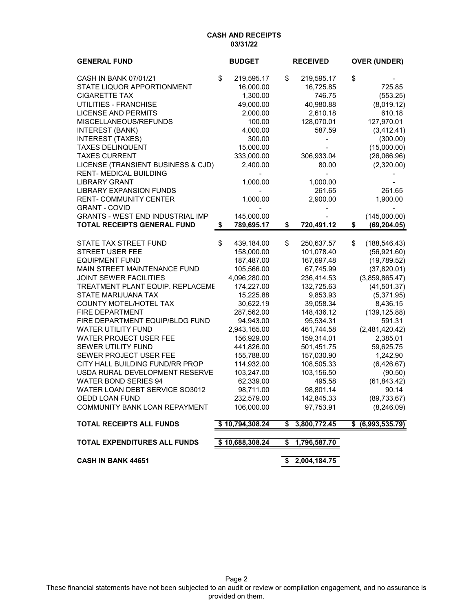### **CASH AND RECEIPTS 03/31/22**

| <b>GENERAL FUND</b>                     | <b>BUDGET</b>    |    | <b>RECEIVED</b> | <b>OVER (UNDER)</b>  |
|-----------------------------------------|------------------|----|-----------------|----------------------|
| <b>CASH IN BANK 07/01/21</b>            | \$<br>219,595.17 | \$ | 219,595.17      | \$                   |
| STATE LIQUOR APPORTIONMENT              | 16,000.00        |    | 16,725.85       | 725.85               |
| <b>CIGARETTE TAX</b>                    | 1,300.00         |    | 746.75          | (553.25)             |
| UTILITIES - FRANCHISE                   | 49,000.00        |    | 40,980.88       | (8,019.12)           |
| <b>LICENSE AND PERMITS</b>              | 2,000.00         |    | 2,610.18        | 610.18               |
| MISCELLANEOUS/REFUNDS                   | 100.00           |    | 128,070.01      | 127,970.01           |
| <b>INTEREST (BANK)</b>                  | 4,000.00         |    | 587.59          | (3,412.41)           |
| <b>INTEREST (TAXES)</b>                 | 300.00           |    |                 | (300.00)             |
| <b>TAXES DELINQUENT</b>                 | 15,000.00        |    |                 | (15,000.00)          |
| <b>TAXES CURRENT</b>                    | 333,000.00       |    | 306,933.04      | (26,066.96)          |
| LICENSE (TRANSIENT BUSINESS & CJD)      | 2,400.00         |    | 80.00           | (2,320.00)           |
| <b>RENT-MEDICAL BUILDING</b>            |                  |    |                 |                      |
| <b>LIBRARY GRANT</b>                    | 1,000.00         |    | 1,000.00        |                      |
| <b>LIBRARY EXPANSION FUNDS</b>          |                  |    | 261.65          | 261.65               |
| <b>RENT-COMMUNITY CENTER</b>            | 1,000.00         |    | 2,900.00        | 1,900.00             |
| <b>GRANT - COVID</b>                    |                  |    |                 |                      |
| <b>GRANTS - WEST END INDUSTRIAL IMP</b> | 145,000.00       |    |                 | (145,000.00)         |
| <b>TOTAL RECEIPTS GENERAL FUND</b>      | \$<br>789,695.17 | \$ | 720,491.12      | \$<br>(69,204.05)    |
|                                         |                  |    |                 |                      |
| STATE TAX STREET FUND                   | \$<br>439,184.00 | \$ | 250,637.57      | \$<br>(188, 546.43)  |
| <b>STREET USER FEE</b>                  | 158,000.00       |    | 101,078.40      | (56, 921.60)         |
| <b>EQUIPMENT FUND</b>                   | 187,487.00       |    | 167,697.48      | (19,789.52)          |
| MAIN STREET MAINTENANCE FUND            | 105,566.00       |    | 67,745.99       | (37,820.01)          |
| <b>JOINT SEWER FACILITIES</b>           | 4,096,280.00     |    | 236,414.53      | (3,859,865.47)       |
| TREATMENT PLANT EQUIP. REPLACEME        | 174,227.00       |    | 132,725.63      | (41,501.37)          |
| STATE MARIJUANA TAX                     | 15,225.88        |    | 9,853.93        | (5,371.95)           |
| COUNTY MOTEL/HOTEL TAX                  | 30,622.19        |    | 39,058.34       | 8,436.15             |
| FIRE DEPARTMENT                         | 287,562.00       |    | 148,436.12      | (139, 125.88)        |
| FIRE DEPARTMENT EQUIP/BLDG FUND         | 94,943.00        |    | 95,534.31       | 591.31               |
| <b>WATER UTILITY FUND</b>               | 2,943,165.00     |    | 461,744.58      | (2,481,420.42)       |
| <b>WATER PROJECT USER FEE</b>           | 156,929.00       |    | 159,314.01      | 2,385.01             |
| SEWER UTILITY FUND                      | 441,826.00       |    | 501,451.75      | 59,625.75            |
| SEWER PROJECT USER FEE                  | 155,788.00       |    | 157,030.90      | 1,242.90             |
| CITY HALL BUILDING FUND/RR PROP         | 114,932.00       |    | 108,505.33      | (6,426.67)           |
| USDA RURAL DEVELOPMENT RESERVE          | 103,247.00       |    | 103,156.50      | (90.50)              |
| <b>WATER BOND SERIES 94</b>             | 62,339.00        |    | 495.58          | (61, 843.42)         |
| WATER LOAN DEBT SERVICE SO3012          | 98,711.00        |    | 98,801.14       | 90.14                |
| OEDD LOAN FUND                          | 232,579.00       |    | 142,845.33      | (89, 733.67)         |
| COMMUNITY BANK LOAN REPAYMENT           | 106,000.00       |    | 97,753.91       | (8,246.09)           |
| <b>TOTAL RECEIPTS ALL FUNDS</b>         | \$10,794,308.24  | \$ | 3,800,772.45    | \$<br>(6,993,535.79) |
| TOTAL EXPENDITURES ALL FUNDS            | \$10,688,308.24  | S  | 1,796,587.70    |                      |
| <b>CASH IN BANK 44651</b>               |                  | \$ | 2,004,184.75    |                      |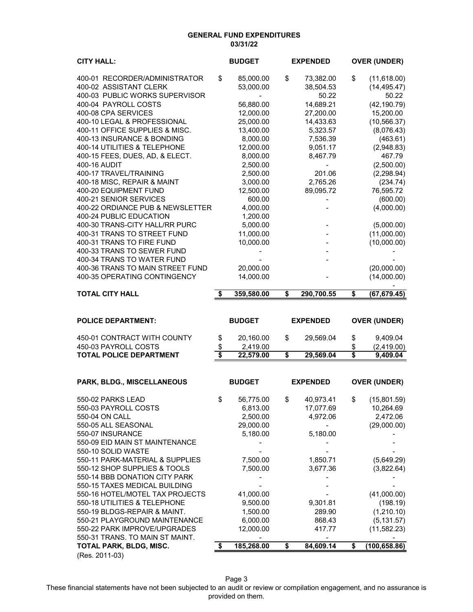#### **GENERAL FUND EXPENDITURES 03/31/22**

| <b>CITY HALL:</b>                                          |          | <b>BUDGET</b>         | <b>EXPENDED</b>      | <b>OVER (UNDER)</b>    |
|------------------------------------------------------------|----------|-----------------------|----------------------|------------------------|
| 400-01 RECORDER/ADMINISTRATOR                              | \$       | 85,000.00             | \$<br>73,382.00      | \$<br>(11,618.00)      |
| 400-02 ASSISTANT CLERK                                     |          | 53,000.00             | 38,504.53            | (14, 495.47)           |
| 400-03 PUBLIC WORKS SUPERVISOR                             |          |                       | 50.22                | 50.22                  |
| 400-04 PAYROLL COSTS                                       |          | 56,880.00             | 14,689.21            | (42, 190.79)           |
| 400-08 CPA SERVICES                                        |          | 12,000.00             | 27,200.00            | 15,200.00              |
| 400-10 LEGAL & PROFESSIONAL                                |          | 25,000.00             | 14,433.63            | (10, 566.37)           |
| 400-11 OFFICE SUPPLIES & MISC.                             |          | 13,400.00             | 5,323.57             | (8,076.43)             |
| 400-13 INSURANCE & BONDING<br>400-14 UTILITIES & TELEPHONE |          | 8,000.00<br>12,000.00 | 7,536.39<br>9,051.17 | (463.61)<br>(2,948.83) |
| 400-15 FEES, DUES, AD, & ELECT.                            |          | 8,000.00              | 8,467.79             | 467.79                 |
| 400-16 AUDIT                                               |          | 2,500.00              | $\blacksquare$       | (2,500.00)             |
| 400-17 TRAVEL/TRAINING                                     |          | 2,500.00              | 201.06               | (2,298.94)             |
| 400-18 MISC, REPAIR & MAINT                                |          | 3,000.00              | 2,765.26             | (234.74)               |
| 400-20 EQUIPMENT FUND                                      |          | 12,500.00             | 89,095.72            | 76,595.72              |
| 400-21 SENIOR SERVICES                                     |          | 600.00                |                      | (600.00)               |
| 400-22 ORDIANCE PUB & NEWSLETTER                           |          | 4,000.00              |                      | (4,000.00)             |
| 400-24 PUBLIC EDUCATION                                    |          | 1,200.00              |                      |                        |
| 400-30 TRANS-CITY HALL/RR PURC                             |          | 5,000.00              |                      | (5,000.00)             |
| 400-31 TRANS TO STREET FUND<br>400-31 TRANS TO FIRE FUND   |          | 11,000.00             |                      | (11,000.00)            |
| 400-33 TRANS TO SEWER FUND                                 |          | 10,000.00             |                      | (10,000.00)            |
| 400-34 TRANS TO WATER FUND                                 |          |                       |                      |                        |
| 400-36 TRANS TO MAIN STREET FUND                           |          | 20,000.00             |                      | (20,000.00)            |
| 400-35 OPERATING CONTINGENCY                               |          | 14,000.00             |                      | (14,000.00)            |
|                                                            |          |                       |                      |                        |
| <b>TOTAL CITY HALL</b>                                     | \$       | 359,580.00            | \$<br>290,700.55     | \$<br>(67, 679.45)     |
|                                                            |          |                       |                      |                        |
|                                                            |          |                       |                      |                        |
| <b>POLICE DEPARTMENT:</b>                                  |          | <b>BUDGET</b>         | <b>EXPENDED</b>      | <b>OVER (UNDER)</b>    |
| 450-01 CONTRACT WITH COUNTY                                |          | 20,160.00             | \$<br>29,569.04      | \$<br>9,409.04         |
| 450-03 PAYROLL COSTS                                       | \$<br>\$ | 2,419.00              |                      | \$<br>(2,419.00)       |
| <b>TOTAL POLICE DEPARTMENT</b>                             | \$       | 22,579.00             | \$<br>29,569.04      | \$<br>9,409.04         |
|                                                            |          |                       |                      |                        |
| PARK, BLDG., MISCELLANEOUS                                 |          | <b>BUDGET</b>         | <b>EXPENDED</b>      | <b>OVER (UNDER)</b>    |
|                                                            |          |                       |                      |                        |
| 550-02 PARKS LEAD                                          | \$       | 56,775.00             | \$<br>40,973.41      | \$<br>(15,801.59)      |
| 550-03 PAYROLL COSTS                                       |          | 6,813.00              | 17,077.69            | 10,264.69              |
| 550-04 ON CALL                                             |          | 2,500.00              | 4,972.06             | 2,472.06               |
| 550-05 ALL SEASONAL                                        |          | 29,000.00             |                      | (29,000.00)            |
| 550-07 INSURANCE<br>550-09 EID MAIN ST MAINTENANCE         |          | 5,180.00              | 5,180.00             |                        |
| 550-10 SOLID WASTE                                         |          |                       |                      |                        |
| 550-11 PARK-MATERIAL & SUPPLIES                            |          | 7,500.00              | 1,850.71             | (5,649.29)             |
| 550-12 SHOP SUPPLIES & TOOLS                               |          | 7,500.00              | 3,677.36             | (3,822.64)             |
| 550-14 BBB DONATION CITY PARK                              |          |                       |                      |                        |
| 550-15 TAXES MEDICAL BUILDING                              |          |                       |                      |                        |
| 550-16 HOTEL/MOTEL TAX PROJECTS                            |          | 41,000.00             |                      | (41,000.00)            |
| 550-18 UTILITIES & TELEPHONE                               |          | 9,500.00              | 9,301.81             | (198.19)               |
| 550-19 BLDGS-REPAIR & MAINT.                               |          | 1,500.00              | 289.90               | (1,210.10)             |
| 550-21 PLAYGROUND MAINTENANCE                              |          | 6,000.00              | 868.43               | (5, 131.57)            |
| 550-22 PARK IMPROVE/UPGRADES                               |          | 12,000.00             | 417.77               | (11, 582.23)           |
| 550-31 TRANS. TO MAIN ST MAINT.<br>TOTAL PARK, BLDG, MISC. | \$       | 185,268.00            | \$<br>84,609.14      | \$<br>(100, 658.86)    |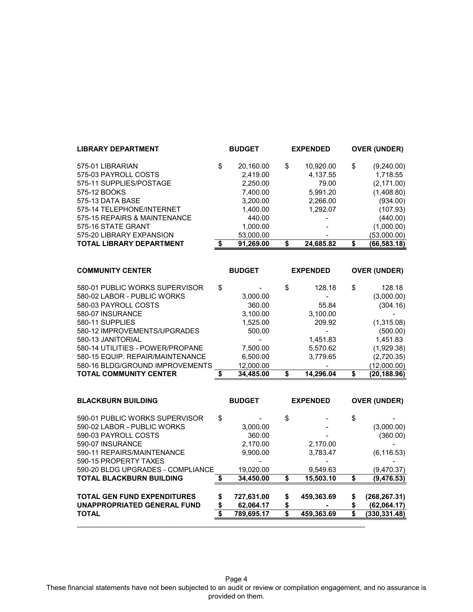| <b>LIBRARY DEPARTMENT</b>                                                                                                                                                                                                                                                                                                     |          | <b>BUDGET</b>                                                                                            |          | <b>EXPENDED</b>                                                                                          |                                              | <b>OVER (UNDER)</b>                                                                                                               |
|-------------------------------------------------------------------------------------------------------------------------------------------------------------------------------------------------------------------------------------------------------------------------------------------------------------------------------|----------|----------------------------------------------------------------------------------------------------------|----------|----------------------------------------------------------------------------------------------------------|----------------------------------------------|-----------------------------------------------------------------------------------------------------------------------------------|
| 575-01 LIBRARIAN<br>575-03 PAYROLL COSTS<br>575-11 SUPPLIES/POSTAGE<br>575-12 BOOKS<br>575-13 DATA BASE<br>575-14 TELEPHONE/INTERNET<br>575-15 REPAIRS & MAINTENANCE<br>575-16 STATE GRANT<br>575-20 LIBRARY EXPANSION                                                                                                        | \$       | 20,160.00<br>2,419.00<br>2,250.00<br>7,400.00<br>3,200.00<br>1,400.00<br>440.00<br>1,000.00<br>53,000.00 | \$       | 10,920.00<br>4,137.55<br>79.00<br>5,991.20<br>2,266.00<br>1,292.07                                       | \$                                           | (9,240.00)<br>1,718.55<br>(2, 171.00)<br>(1,408.80)<br>(934.00)<br>(107.93)<br>(440.00)<br>(1,000.00)<br>(53,000.00)              |
| <b>TOTAL LIBRARY DEPARTMENT</b>                                                                                                                                                                                                                                                                                               | \$       | 91,269.00                                                                                                | \$       | 24,685.82                                                                                                | \$                                           | (66, 583.18)                                                                                                                      |
| <b>COMMUNITY CENTER</b>                                                                                                                                                                                                                                                                                                       |          | <b>BUDGET</b>                                                                                            |          | <b>EXPENDED</b>                                                                                          |                                              | <b>OVER (UNDER)</b>                                                                                                               |
| 580-01 PUBLIC WORKS SUPERVISOR<br>580-02 LABOR - PUBLIC WORKS<br>580-03 PAYROLL COSTS<br>580-07 INSURANCE<br>580-11 SUPPLIES<br>580-12 IMPROVEMENTS/UPGRADES<br>580-13 JANITORIAL<br>580-14 UTILITIES - POWER/PROPANE<br>580-15 EQUIP. REPAIR/MAINTENANCE<br>580-16 BLDG/GROUND IMPROVEMENTS<br><b>TOTAL COMMUNITY CENTER</b> | \$<br>\$ | 3,000.00<br>360.00<br>3,100.00<br>1,525.00<br>500.00<br>7,500.00<br>6,500.00<br>12,000.00<br>34,485.00   | \$<br>\$ | 128.18<br>55.84<br>3,100.00<br>209.92<br>$\blacksquare$<br>1,451.83<br>5,570.62<br>3,779.65<br>14,296.04 | \$<br>$\overline{\boldsymbol{\mathfrak{s}}}$ | 128.18<br>(3,000.00)<br>(304.16)<br>(1,315.08)<br>(500.00)<br>1,451.83<br>(1,929.38)<br>(2,720.35)<br>(12,000.00)<br>(20, 188.96) |
| <b>BLACKBURN BUILDING</b>                                                                                                                                                                                                                                                                                                     |          | <b>BUDGET</b>                                                                                            |          | <b>EXPENDED</b>                                                                                          |                                              | <b>OVER (UNDER)</b>                                                                                                               |
| 590-01 PUBLIC WORKS SUPERVISOR<br>590-02 LABOR - PUBLIC WORKS<br>590-03 PAYROLL COSTS<br>590-07 INSURANCE<br>590-11 REPAIRS/MAINTENANCE                                                                                                                                                                                       | \$       | 3,000.00<br>360.00<br>2,170.00<br>9,900.00                                                               | \$       | 2,170.00<br>3,783.47                                                                                     | \$                                           | (3,000.00)<br>(360.00)<br>(6, 116.53)                                                                                             |

Page 4 These financial statements have not been subjected to an audit or review or compilation engagement, and no assurance is provided on them.

590-15 PROPERTY TAXES - - - 590-20 BLDG UPGRADES - COMPLIANCE 19,020.00 9,549.63 (9,470.37) **TOTAL BLACKBURN BUILDING 34,450.00 \$ 15,503.10 \$ (9,476.53) \$** 

**TOTAL GEN FUND EXPENDITURES 727,631.00 \$ 459,363.69 \$ (268,267.31) \$**  UNAPPROPRIATED GENERAL FUND  $\frac{\$}{3}$  62,064.17  $\frac{\$}{3}$  459,363.69  $\frac{\$}{3}$  (330,331.48) **TOTAL 789,695.17 \$ 459,363.69 \$ (330,331.48) \$** 

\_\_\_\_\_\_\_\_\_\_\_\_\_\_\_\_\_\_\_\_\_\_\_\_\_\_\_\_\_\_\_\_\_\_\_\_\_\_\_\_\_\_\_\_\_\_\_\_\_\_\_\_\_\_\_\_\_\_\_\_\_\_\_\_\_\_\_\_\_\_\_\_\_\_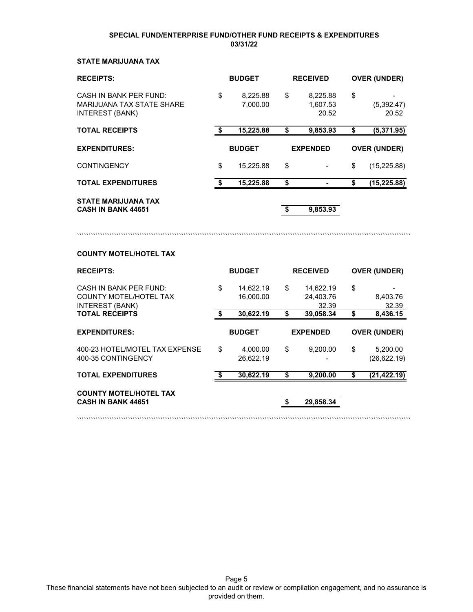### **SPECIAL FUND/ENTERPRISE FUND/OTHER FUND RECEIPTS & EXPENDITURES 03/31/22**

## **STATE MARIJUANA TAX**

| <b>RECEIPTS:</b>                                                                                                  | <b>BUDGET</b> |                                     | <b>RECEIVED</b>      |                                              | <b>OVER (UNDER)</b> |                               |
|-------------------------------------------------------------------------------------------------------------------|---------------|-------------------------------------|----------------------|----------------------------------------------|---------------------|-------------------------------|
| <b>CASH IN BANK PER FUND:</b><br><b>MARIJUANA TAX STATE SHARE</b><br><b>INTEREST (BANK)</b>                       | \$            | 8,225.88<br>7,000.00                | \$                   | 8,225.88<br>1,607.53<br>20.52                | \$                  | (5, 392.47)<br>20.52          |
| <b>TOTAL RECEIPTS</b>                                                                                             | \$            | 15,225.88                           | \$                   | 9,853.93                                     | \$                  | (5,371.95)                    |
| <b>EXPENDITURES:</b>                                                                                              |               | <b>BUDGET</b>                       |                      | <b>EXPENDED</b>                              |                     | <b>OVER (UNDER)</b>           |
| <b>CONTINGENCY</b>                                                                                                | \$            | 15,225.88                           | \$                   |                                              | \$                  | (15, 225.88)                  |
| <b>TOTAL EXPENDITURES</b>                                                                                         | \$            | 15,225.88                           | \$                   | ٠                                            | \$                  | (15, 225.88)                  |
| <b>STATE MARIJUANA TAX</b><br><b>CASH IN BANK 44651</b>                                                           |               |                                     | $\overline{\bullet}$ | 9,853.93                                     |                     |                               |
| <b>COUNTY MOTEL/HOTEL TAX</b>                                                                                     |               |                                     |                      |                                              |                     |                               |
| <b>RECEIPTS:</b>                                                                                                  |               | <b>BUDGET</b>                       |                      | <b>RECEIVED</b>                              |                     | <b>OVER (UNDER)</b>           |
| <b>CASH IN BANK PER FUND:</b><br><b>COUNTY MOTEL/HOTEL TAX</b><br><b>INTEREST (BANK)</b><br><b>TOTAL RECEIPTS</b> | \$<br>\$      | 14,622.19<br>16,000.00<br>30,622.19 | \$<br>\$             | 14,622.19<br>24,403.76<br>32.39<br>39,058.34 | \$<br>\$            | 8,403.76<br>32.39<br>8,436.15 |
|                                                                                                                   |               |                                     |                      |                                              |                     |                               |
| <b>EXPENDITURES:</b>                                                                                              |               | <b>BUDGET</b>                       |                      | <b>EXPENDED</b>                              |                     | <b>OVER (UNDER)</b>           |
| 400-23 HOTEL/MOTEL TAX EXPENSE<br>400-35 CONTINGENCY                                                              | \$            | 4,000.00<br>26.622.19               | \$                   | 9,200.00                                     | \$                  | 5,200.00<br>(26, 622.19)      |
| <b>TOTAL EXPENDITURES</b>                                                                                         | \$            | 30,622.19                           | \$                   | 9,200.00                                     | \$                  | (21, 422.19)                  |

````````````````````````````````````````````````````````````````````````````````````````````````````````````````````````````````````````````````

**COUNTY MOTEL/HOTEL TAX CASH IN BANK 44651 29,858.34 \$** 

Page 5 These financial statements have not been subjected to an audit or review or compilation engagement, and no assurance is provided on them.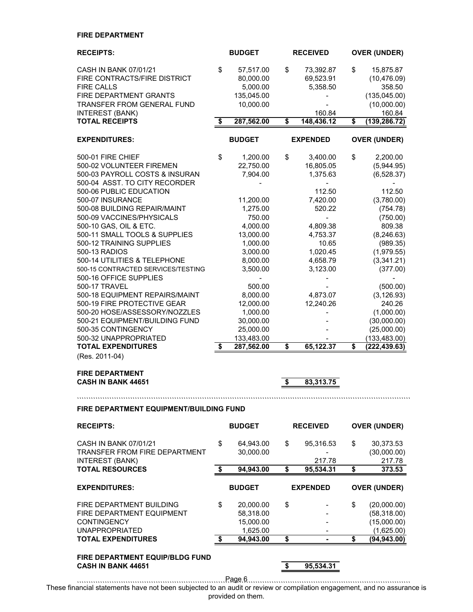### **FIRE DEPARTMENT**

| <b>RECEIPTS:</b>                                          | <b>BUDGET</b>      | <b>RECEIVED</b>    | <b>OVER (UNDER)</b> |
|-----------------------------------------------------------|--------------------|--------------------|---------------------|
| CASH IN BANK 07/01/21                                     | \$<br>57,517.00    | \$<br>73,392.87    | \$<br>15,875.87     |
| FIRE CONTRACTS/FIRE DISTRICT                              | 80,000.00          | 69,523.91          | (10, 476.09)        |
| <b>FIRE CALLS</b>                                         | 5,000.00           | 5,358.50           | 358.50              |
| FIRE DEPARTMENT GRANTS                                    | 135,045.00         |                    | (135, 045.00)       |
| <b>TRANSFER FROM GENERAL FUND</b>                         | 10,000.00          |                    | (10,000.00)         |
| <b>INTEREST (BANK)</b>                                    |                    | 160.84             | 160.84              |
| <b>TOTAL RECEIPTS</b>                                     | \$<br>287,562.00   | \$<br>148,436.12   | \$<br>(139, 286.72) |
| <b>EXPENDITURES:</b>                                      | <b>BUDGET</b>      | <b>EXPENDED</b>    | <b>OVER (UNDER)</b> |
| 500-01 FIRE CHIEF                                         | \$<br>1,200.00     | \$<br>3,400.00     | \$<br>2,200.00      |
| 500-02 VOLUNTEER FIREMEN                                  | 22,750.00          | 16,805.05          | (5,944.95)          |
| 500-03 PAYROLL COSTS & INSURAN                            | 7,904.00           | 1,375.63           | (6,528.37)          |
| 500-04 ASST. TO CITY RECORDER                             |                    |                    |                     |
| 500-06 PUBLIC EDUCATION                                   |                    | 112.50             | 112.50              |
| 500-07 INSURANCE                                          | 11,200.00          | 7,420.00<br>520.22 | (3,780.00)          |
| 500-08 BUILDING REPAIR/MAINT<br>500-09 VACCINES/PHYSICALS | 1,275.00<br>750.00 | $\blacksquare$     | (754.78)            |
| 500-10 GAS, OIL & ETC.                                    | 4,000.00           | 4,809.38           | (750.00)<br>809.38  |
| 500-11 SMALL TOOLS & SUPPLIES                             | 13,000.00          | 4,753.37           | (8, 246.63)         |
| 500-12 TRAINING SUPPLIES                                  | 1,000.00           | 10.65              | (989.35)            |
| 500-13 RADIOS                                             | 3,000.00           | 1,020.45           | (1,979.55)          |
| 500-14 UTILITIES & TELEPHONE                              | 8,000.00           | 4,658.79           | (3,341.21)          |
| 500-15 CONTRACTED SERVICES/TESTING                        | 3,500.00           | 3,123.00           | (377.00)            |
| 500-16 OFFICE SUPPLIES                                    |                    |                    |                     |
| 500-17 TRAVEL                                             | 500.00             |                    | (500.00)            |
| 500-18 EQUIPMENT REPAIRS/MAINT                            | 8,000.00           | 4,873.07           | (3, 126.93)         |
| 500-19 FIRE PROTECTIVE GEAR                               | 12,000.00          | 12,240.26          | 240.26              |
| 500-20 HOSE/ASSESSORY/NOZZLES                             | 1,000.00           |                    | (1,000.00)          |
| 500-21 EQUIPMENT/BUILDING FUND                            | 30,000.00          |                    | (30,000.00)         |
| 500-35 CONTINGENCY                                        | 25,000.00          |                    | (25,000.00)         |
| 500-32 UNAPPROPRIATED                                     | 133,483.00         |                    | (133, 483.00)       |
| <b>TOTAL EXPENDITURES</b>                                 | \$<br>287,562.00   | \$<br>65,122.37    | \$<br>(222, 439.63) |
| (Res. 2011-04)                                            |                    |                    |                     |
| <b>FIRE DEPARTMENT</b>                                    |                    |                    |                     |
| <b>CASH IN BANK 44651</b>                                 |                    | \$<br>83,313.75    |                     |
|                                                           |                    |                    |                     |
| FIRE DEPARTMENT EQUIPMENT/BUILDING FUND                   |                    |                    |                     |
| <b>RECEIPTS:</b>                                          | <b>BUDGET</b>      | <b>RECEIVED</b>    | <b>OVER (UNDER)</b> |
| CASH IN BANK 07/01/21                                     | \$<br>64,943.00    | \$<br>95,316.53    | \$<br>30,373.53     |
| TRANSFER FROM FIRE DEPARTMENT                             | 30,000.00          |                    | (30,000.00)         |
| <b>INTEREST (BANK)</b>                                    |                    | 217.78             | 217.78              |
| <b>TOTAL RESOURCES</b>                                    | \$<br>94,943.00    | \$<br>95,534.31    | \$<br>373.53        |
| <b>EXPENDITURES:</b>                                      | <b>BUDGET</b>      | <b>EXPENDED</b>    | <b>OVER (UNDER)</b> |
| FIRE DEPARTMENT BUILDING                                  | \$<br>20,000.00    | \$                 | \$<br>(20,000.00)   |
| FIRE DEPARTMENT EQUIPMENT                                 | 58,318.00          |                    | (58,318.00)         |
| <b>CONTINGENCY</b>                                        | 15,000.00          |                    | (15,000.00)         |
| <b>UNAPPROPRIATED</b>                                     | 1,625.00           |                    | (1,625.00)          |
| <b>TOTAL EXPENDITURES</b>                                 | \$<br>94,943.00    | \$                 | \$<br>(94, 943.00)  |
|                                                           |                    |                    |                     |

**FIRE DEPARTMENT EQUIP/BLDG FUND CASH IN BANK 44651 8 8 95,534.31** 

```````````````````````````````````````````````````````````````````````````````````````````````````````````````````````````````````````````````` Page 6 These financial statements have not been subjected to an audit or review or compilation engagement, and no assurance is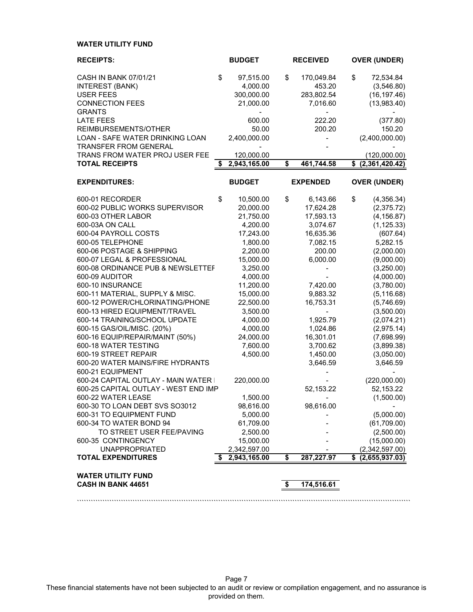## **WATER UTILITY FUND**

| <b>RECEIPTS:</b>                                       | <b>BUDGET</b>      | <b>RECEIVED</b>  | <b>OVER (UNDER)</b>  |
|--------------------------------------------------------|--------------------|------------------|----------------------|
| CASH IN BANK 07/01/21                                  | \$<br>97,515.00    | \$<br>170,049.84 | \$<br>72,534.84      |
| <b>INTEREST (BANK)</b>                                 | 4,000.00           | 453.20           | (3,546.80)           |
| <b>USER FEES</b>                                       | 300,000.00         | 283,802.54       | (16, 197.46)         |
| <b>CONNECTION FEES</b>                                 | 21,000.00          | 7,016.60         | (13,983.40)          |
| <b>GRANTS</b>                                          |                    |                  |                      |
| <b>LATE FEES</b>                                       | 600.00             | 222.20           | (377.80)             |
| REIMBURSEMENTS/OTHER                                   | 50.00              | 200.20           | 150.20               |
| LOAN - SAFE WATER DRINKING LOAN                        | 2,400,000.00       |                  | (2,400,000.00)       |
| <b>TRANSFER FROM GENERAL</b>                           |                    |                  |                      |
| TRANS FROM WATER PROJ USER FEE                         | 120,000.00         |                  | (120,000.00)         |
| <b>TOTAL RECEIPTS</b>                                  | \$<br>2,943,165.00 | \$<br>461,744.58 | \$ (2,361,420.42)    |
|                                                        |                    |                  |                      |
| <b>EXPENDITURES:</b>                                   | <b>BUDGET</b>      | <b>EXPENDED</b>  | <b>OVER (UNDER)</b>  |
| 600-01 RECORDER                                        | \$<br>10,500.00    | \$<br>6,143.66   | \$<br>(4,356.34)     |
| 600-02 PUBLIC WORKS SUPERVISOR                         | 20,000.00          | 17,624.28        | (2,375.72)           |
| 600-03 OTHER LABOR                                     | 21,750.00          | 17,593.13        | (4, 156.87)          |
| 600-03A ON CALL                                        | 4,200.00           | 3,074.67         | (1, 125.33)          |
| 600-04 PAYROLL COSTS                                   | 17,243.00          | 16,635.36        | (607.64)             |
| 600-05 TELEPHONE                                       | 1,800.00           | 7,082.15         | 5,282.15             |
| 600-06 POSTAGE & SHIPPING                              | 2,200.00           | 200.00           | (2,000.00)           |
| 600-07 LEGAL & PROFESSIONAL                            | 15,000.00          | 6,000.00         | (9,000.00)           |
| 600-08 ORDINANCE PUB & NEWSLETTEF                      | 3,250.00           |                  | (3,250.00)           |
| 600-09 AUDITOR                                         | 4,000.00           |                  | (4,000.00)           |
| 600-10 INSURANCE                                       | 11,200.00          | 7,420.00         | (3,780.00)           |
| 600-11 MATERIAL, SUPPLY & MISC.                        | 15,000.00          | 9,883.32         | (5, 116.68)          |
| 600-12 POWER/CHLORINATING/PHONE                        | 22,500.00          | 16,753.31        | (5,746.69)           |
| 600-13 HIRED EQUIPMENT/TRAVEL                          | 3,500.00           |                  | (3,500.00)           |
| 600-14 TRAINING/SCHOOL UPDATE                          | 4,000.00           | 1,925.79         | (2,074.21)           |
| 600-15 GAS/OIL/MISC. (20%)                             | 4,000.00           | 1,024.86         | (2,975.14)           |
| 600-16 EQUIP/REPAIR/MAINT (50%)                        | 24,000.00          | 16,301.01        | (7,698.99)           |
| 600-18 WATER TESTING                                   | 7,600.00           | 3,700.62         | (3,899.38)           |
| 600-19 STREET REPAIR                                   | 4,500.00           | 1,450.00         | (3,050.00)           |
| 600-20 WATER MAINS/FIRE HYDRANTS                       |                    | 3,646.59         | 3,646.59             |
| 600-21 EQUIPMENT                                       |                    |                  |                      |
| 600-24 CAPITAL OUTLAY - MAIN WATER I                   | 220,000.00         |                  | (220,000.00)         |
| 600-25 CAPITAL OUTLAY - WEST END IMP                   |                    | 52,153.22        | 52,153.22            |
| 600-22 WATER LEASE                                     | 1,500.00           |                  | (1,500.00)           |
| 600-30 TO LOAN DEBT SVS SO3012                         | 98,616.00          | 98,616.00        |                      |
| 600-31 TO EQUIPMENT FUND                               | 5,000.00           |                  | (5,000.00)           |
| 600-34 TO WATER BOND 94                                | 61,709.00          |                  | (61,709.00)          |
| TO STREET USER FEE/PAVING                              | 2,500.00           |                  | (2,500.00)           |
| 600-35 CONTINGENCY                                     | 15,000.00          |                  | (15,000.00)          |
| <b>UNAPPROPRIATED</b>                                  | 2,342,597.00       |                  | (2,342,597.00)       |
| <b>TOTAL EXPENDITURES</b>                              | 2,943,165.00       | \$<br>287,227.97 | \$<br>(2,655,937.03) |
|                                                        |                    |                  |                      |
| <b>WATER UTILITY FUND</b><br><b>CASH IN BANK 44651</b> |                    | \$<br>174,516.61 |                      |
|                                                        |                    |                  |                      |

Page 7 These financial statements have not been subjected to an audit or review or compilation engagement, and no assurance is provided on them.

````````````````````````````````````````````````````````````````````````````````````````````````````````````````````````````````````````````````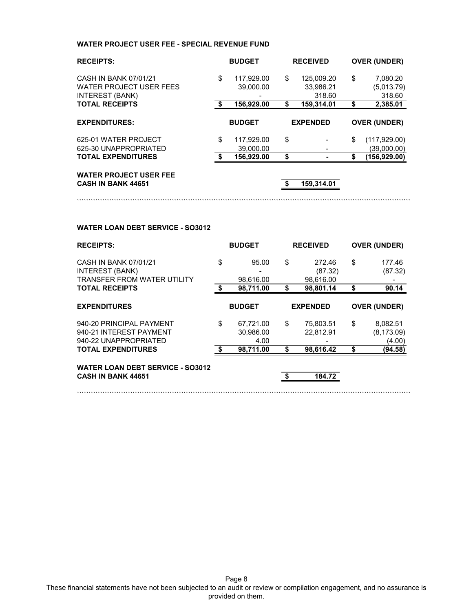### **WATER PROJECT USER FEE - SPECIAL REVENUE FUND**

| <b>RECEIPTS:</b>                                                                  | <b>BUDGET</b>                 | <b>RECEIVED</b>                         | <b>OVER (UNDER)</b>                    |
|-----------------------------------------------------------------------------------|-------------------------------|-----------------------------------------|----------------------------------------|
| CASH IN BANK 07/01/21<br><b>WATER PROJECT USER FEES</b><br><b>INTEREST (BANK)</b> | \$<br>117.929.00<br>39,000.00 | \$<br>125.009.20<br>33,986.21<br>318.60 | \$<br>7,080.20<br>(5,013.79)<br>318.60 |
| <b>TOTAL RECEIPTS</b>                                                             | 156,929.00                    | \$<br>159,314.01                        | \$<br>2,385.01                         |
|                                                                                   |                               |                                         |                                        |
| <b>EXPENDITURES:</b>                                                              | <b>BUDGET</b>                 | <b>EXPENDED</b>                         | <b>OVER (UNDER)</b>                    |
| 625-01 WATER PROJECT                                                              | \$<br>117.929.00              | \$                                      | \$                                     |
| 625-30 UNAPPROPRIATED                                                             | 39,000.00                     |                                         | (117, 929.00)<br>(39,000.00)           |
| <b>TOTAL EXPENDITURES</b>                                                         | 156,929.00                    | \$                                      | (156,929.00)                           |

````````````````````````````````````````````````````````````````````````````````````````````````````````````````````````````````````````````````

**CASH IN BANK 44651 159,314.01 \$** 

````````````````````````````````````````````````````````````````````````````````````````````````````````````````````````````````````````````````

### **WATER LOAN DEBT SERVICE - SO3012**

| <b>RECEIPTS:</b>                                                                      |      | <b>BUDGET</b>                  | <b>RECEIVED</b>                      |    | <b>OVER (UNDER)</b>               |
|---------------------------------------------------------------------------------------|------|--------------------------------|--------------------------------------|----|-----------------------------------|
| CASH IN BANK 07/01/21<br><b>INTEREST (BANK)</b><br><b>TRANSFER FROM WATER UTILITY</b> | \$   | 95.00<br>98,616.00             | \$<br>272.46<br>(87.32)<br>98,616.00 | \$ | 177.46<br>(87.32)                 |
| <b>TOTAL RECEIPTS</b>                                                                 | £.   | 98,711.00                      | \$<br>98,801.14                      | S  | 90.14                             |
| <b>EXPENDITURES</b>                                                                   |      | <b>BUDGET</b>                  | <b>EXPENDED</b>                      |    | <b>OVER (UNDER)</b>               |
| 940-20 PRINCIPAL PAYMENT<br>940-21 INTEREST PAYMENT<br>940-22 UNAPPROPRIATED          | \$   | 67,721.00<br>30,986.00<br>4.00 | \$<br>75,803.51<br>22,812.91         | \$ | 8,082.51<br>(8, 173.09)<br>(4.00) |
| <b>TOTAL EXPENDITURES</b>                                                             | - \$ | 98.711.00                      | 98,616.42                            | \$ | (94.58)                           |
| <b>WATER LOAN DEBT SERVICE - SO3012</b><br><b>CASH IN BANK 44651</b>                  |      |                                | \$<br>184.72                         |    |                                   |

Page 8 These financial statements have not been subjected to an audit or review or compilation engagement, and no assurance is provided on them.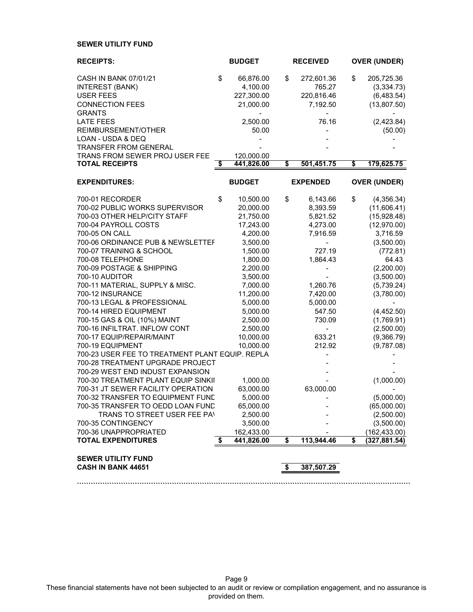## **SEWER UTILITY FUND**

| <b>RECEIPTS:</b>                                                  | <b>BUDGET</b>         | <b>RECEIVED</b>          | <b>OVER (UNDER)</b>       |
|-------------------------------------------------------------------|-----------------------|--------------------------|---------------------------|
| <b>CASH IN BANK 07/01/21</b>                                      | \$<br>66,876.00       | \$<br>272,601.36         | \$<br>205,725.36          |
| <b>INTEREST (BANK)</b>                                            | 4,100.00              | 765.27                   | (3,334.73)                |
| <b>USER FEES</b>                                                  | 227,300.00            | 220,816.46               | (6,483.54)                |
| <b>CONNECTION FEES</b><br><b>GRANTS</b>                           | 21,000.00             | 7,192.50                 | (13,807.50)               |
| <b>LATE FEES</b>                                                  | 2,500.00              | 76.16                    | (2,423.84)                |
| REIMBURSEMENT/OTHER                                               | 50.00                 |                          | (50.00)                   |
| LOAN - USDA & DEQ                                                 |                       |                          |                           |
| <b>TRANSFER FROM GENERAL</b>                                      |                       |                          |                           |
| TRANS FROM SEWER PROJ USER FEE<br><b>TOTAL RECEIPTS</b>           | 120,000.00            | 501,451.75               |                           |
|                                                                   | \$<br>441,826.00      | \$                       | \$<br>179,625.75          |
| <b>EXPENDITURES:</b>                                              | <b>BUDGET</b>         | <b>EXPENDED</b>          | <b>OVER (UNDER)</b>       |
| 700-01 RECORDER                                                   | \$<br>10,500.00       | \$<br>6,143.66           | \$<br>(4,356.34)          |
| 700-02 PUBLIC WORKS SUPERVISOR                                    | 20,000.00             | 8,393.59                 | (11,606.41)               |
| 700-03 OTHER HELP/CITY STAFF                                      | 21,750.00             | 5,821.52                 | (15,928.48)               |
| 700-04 PAYROLL COSTS                                              | 17,243.00             | 4,273.00                 | (12,970.00)               |
| 700-05 ON CALL                                                    | 4,200.00              | 7,916.59                 | 3,716.59                  |
| 700-06 ORDINANCE PUB & NEWSLETTEF                                 | 3,500.00              |                          | (3,500.00)                |
| 700-07 TRAINING & SCHOOL                                          | 1,500.00              | 727.19                   | (772.81)                  |
| 700-08 TELEPHONE                                                  | 1,800.00              | 1,864.43                 | 64.43                     |
| 700-09 POSTAGE & SHIPPING<br>700-10 AUDITOR                       | 2,200.00<br>3,500.00  |                          | (2,200.00)<br>(3,500.00)  |
| 700-11 MATERIAL, SUPPLY & MISC.                                   | 7,000.00              | 1,260.76                 | (5,739.24)                |
| 700-12 INSURANCE                                                  | 11,200.00             | 7,420.00                 | (3,780.00)                |
| 700-13 LEGAL & PROFESSIONAL                                       | 5,000.00              | 5,000.00                 |                           |
| 700-14 HIRED EQUIPMENT                                            | 5,000.00              | 547.50                   | (4,452.50)                |
| 700-15 GAS & OIL (10%) MAINT                                      | 2,500.00              | 730.09                   | (1,769.91)                |
| 700-16 INFILTRAT. INFLOW CONT                                     | 2,500.00              | $\overline{\phantom{0}}$ | (2,500.00)                |
| 700-17 EQUIP/REPAIR/MAINT                                         | 10,000.00             | 633.21                   | (9,366.79)                |
| 700-19 EQUIPMENT                                                  | 10,000.00             | 212.92                   | (9,787.08)                |
| 700-23 USER FEE TO TREATMENT PLANT EQUIP. REPLA                   |                       |                          |                           |
| 700-28 TREATMENT UPGRADE PROJECT                                  |                       |                          |                           |
| 700-29 WEST END INDUST EXPANSION                                  |                       |                          |                           |
| 700-30 TREATMENT PLANT EQUIP SINKII                               | 1,000.00              |                          | (1,000.00)                |
| 700-31 JT SEWER FACILITY OPERATION                                | 63,000.00             | 63,000.00                |                           |
| 700-32 TRANSFER TO EQUIPMENT FUND                                 | 5,000.00              |                          | (5,000.00)<br>(65,000.00) |
| 700-35 TRANSFER TO OEDD LOAN FUND<br>TRANS TO STREET USER FEE PAN | 65,000.00<br>2,500.00 |                          | (2,500.00)                |
| 700-35 CONTINGENCY                                                | 3,500.00              |                          | (3,500.00)                |
| 700-36 UNAPPROPRIATED                                             | 162,433.00            |                          | (162, 433.00)             |
| <b>TOTAL EXPENDITURES</b>                                         | \$<br>441,826.00      | \$<br>113,944.46         | \$<br>(327, 881.54)       |
|                                                                   |                       |                          |                           |
| <b>SEWER UTILITY FUND</b><br>CASH IN BANK 44651                   |                       | \$<br>387,507.29         |                           |
|                                                                   |                       |                          |                           |

Page 9 These financial statements have not been subjected to an audit or review or compilation engagement, and no assurance is provided on them.

**````````````````````````````````````````````````````````````````````````````````````````````````````````````````````````````````````````````````**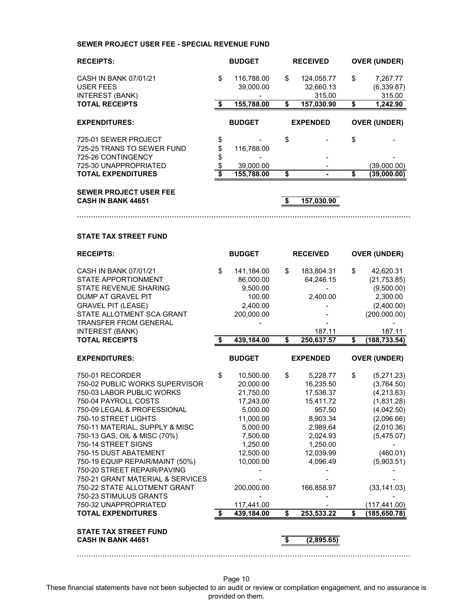### **SEWER PROJECT USER FEE - SPECIAL REVENUE FUND**

| <b>RECEIPTS:</b>                                             |    | <b>BUDGET</b>           |    | <b>RECEIVED</b>                   | <b>OVER (UNDER)</b>                    |
|--------------------------------------------------------------|----|-------------------------|----|-----------------------------------|----------------------------------------|
| CASH IN BANK 07/01/21<br>USER FEES<br><b>INTEREST (BANK)</b> | \$ | 116,788.00<br>39,000.00 | \$ | 124,055.77<br>32,660.13<br>315.00 | \$<br>7,267.77<br>(6,339.87)<br>315.00 |
| <b>TOTAL RECEIPTS</b>                                        | £. | 155,788.00              | S  | 157.030.90                        | \$<br>1,242.90                         |
| <b>EXPENDITURES:</b>                                         |    | <b>BUDGET</b>           |    | <b>EXPENDED</b>                   | <b>OVER (UNDER)</b>                    |
| 725-01 SEWER PROJECT                                         | \$ |                         | \$ |                                   | \$                                     |
| 725-25 TRANS TO SEWER FUND                                   | \$ | 116.788.00              |    |                                   |                                        |
| 725-26 CONTINGENCY                                           |    |                         |    |                                   |                                        |
| 725-30 UNAPPROPRIATED                                        |    | 39,000.00               |    |                                   | (39,000.00)                            |
| <b>TOTAL EXPENDITURES</b>                                    |    | 155,788.00              |    |                                   | (39,000.00)                            |

**````````````````````````````````````````````````````````````````````````````````````````````````````````````````````````````````````````````````**

#### **SEWER PROJECT USER FEE CASH IN BANK 44651 157,030.90**

### **STATE TAX STREET FUND**

| <b>RECEIPTS:</b>                                                                                                                                                                                                                                                                                                                                                                                                                                                                                      |          | <b>BUDGET</b>                                                                                                                                                                     |          | <b>RECEIVED</b>                                                                                                                                                |          | <b>OVER (UNDER)</b>                                                                                                                                                                    |
|-------------------------------------------------------------------------------------------------------------------------------------------------------------------------------------------------------------------------------------------------------------------------------------------------------------------------------------------------------------------------------------------------------------------------------------------------------------------------------------------------------|----------|-----------------------------------------------------------------------------------------------------------------------------------------------------------------------------------|----------|----------------------------------------------------------------------------------------------------------------------------------------------------------------|----------|----------------------------------------------------------------------------------------------------------------------------------------------------------------------------------------|
| <b>CASH IN BANK 07/01/21</b><br><b>STATE APPORTIONMENT</b><br><b>STATE REVENUE SHARING</b><br>DUMP AT GRAVEL PIT<br><b>GRAVEL PIT (LEASE)</b><br>STATE ALLOTMENT SCA GRANT<br><b>TRANSFER FROM GENERAL</b>                                                                                                                                                                                                                                                                                            | \$       | 141,184.00<br>86,000.00<br>9,500.00<br>100.00<br>2,400.00<br>200,000.00                                                                                                           | \$       | 183,804.31<br>64,246.15<br>2,400.00                                                                                                                            | \$       | 42,620.31<br>(21, 753.85)<br>(9,500.00)<br>2,300.00<br>(2,400.00)<br>(200,000.00)                                                                                                      |
| <b>INTEREST (BANK)</b><br><b>TOTAL RECEIPTS</b>                                                                                                                                                                                                                                                                                                                                                                                                                                                       | \$       | 439,184.00                                                                                                                                                                        | \$       | 187.11<br>250,637.57                                                                                                                                           | \$       | 187.11<br>(188, 733.54)                                                                                                                                                                |
| <b>EXPENDITURES:</b>                                                                                                                                                                                                                                                                                                                                                                                                                                                                                  |          | <b>BUDGET</b>                                                                                                                                                                     |          | <b>EXPENDED</b>                                                                                                                                                |          | <b>OVER (UNDER)</b>                                                                                                                                                                    |
| 750-01 RECORDER<br>750-02 PUBLIC WORKS SUPERVISOR<br>750-03 LABOR PUBLIC WORKS<br>750-04 PAYROLL COSTS<br>750-09 LEGAL & PROFESSIONAL<br>750-10 STREET LIGHTS<br>750-11 MATERIAL, SUPPLY & MISC<br>750-13 GAS, OIL & MISC (70%)<br>750-14 STREET SIGNS<br>750-15 DUST ABATEMENT<br>750-19 EQUIP REPAIR/MAINT (50%)<br>750-20 STREET REPAIR/PAVING<br>750-21 GRANT MATERIAL & SERVICES<br>750-22 STATE ALLOTMENT GRANT<br>750-23 STIMULUS GRANTS<br>750-32 UNAPPROPRIATED<br><b>TOTAL EXPENDITURES</b> | \$<br>\$ | 10,500.00<br>20,000.00<br>21,750.00<br>17,243.00<br>5,000.00<br>11,000.00<br>5,000.00<br>7,500.00<br>1,250.00<br>12,500.00<br>10,000.00<br>200,000.00<br>117,441.00<br>439,184.00 | \$<br>\$ | 5,228.77<br>16,235.50<br>17,536.37<br>15,411.72<br>957.50<br>8,903.34<br>2,989.64<br>2,024.93<br>1,250.00<br>12,039.99<br>4,096.49<br>166,858.97<br>253,533.22 | \$<br>\$ | (5,271.23)<br>(3,764.50)<br>(4,213.63)<br>(1,831.28)<br>(4,042.50)<br>(2,096.66)<br>(2,010.36)<br>(5,475.07)<br>(460.01)<br>(5,903.51)<br>(33, 141.03)<br>(117,441.00)<br>(185,650.78) |
| <b>STATE TAX STREET FUND</b><br><b>CASH IN BANK 44651</b>                                                                                                                                                                                                                                                                                                                                                                                                                                             |          |                                                                                                                                                                                   | \$       | (2,895.65)                                                                                                                                                     |          |                                                                                                                                                                                        |

Page 10

````````````````````````````````````````````````````````````````````````````````````````````````````````````````````````````````````````````````

These financial statements have not been subjected to an audit or review or compilation engagement, and no assurance is provided on them.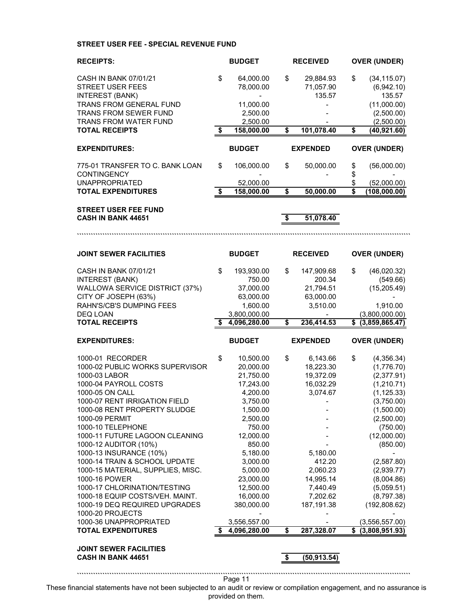## **STREET USER FEE - SPECIAL REVENUE FUND**

| <b>RECEIPTS:</b>                                                   | <b>BUDGET</b>        | <b>RECEIVED</b>    |                                      | <b>OVER (UNDER)</b>      |
|--------------------------------------------------------------------|----------------------|--------------------|--------------------------------------|--------------------------|
| CASH IN BANK 07/01/21                                              | \$<br>64,000.00      | \$<br>29,884.93    | \$                                   | (34, 115.07)             |
| <b>STREET USER FEES</b>                                            | 78,000.00            | 71,057.90          |                                      | (6,942.10)               |
| <b>INTEREST (BANK)</b>                                             |                      | 135.57             |                                      | 135.57                   |
| TRANS FROM GENERAL FUND                                            | 11,000.00            |                    |                                      | (11,000.00)              |
| TRANS FROM SEWER FUND                                              | 2,500.00             |                    |                                      | (2,500.00)               |
| <b>TRANS FROM WATER FUND</b>                                       | 2,500.00             |                    |                                      | (2,500.00)               |
| <b>TOTAL RECEIPTS</b>                                              | \$<br>158,000.00     | \$<br>101,078.40   | $\overline{\boldsymbol{\mathsf{s}}}$ | (40, 921.60)             |
| <b>EXPENDITURES:</b>                                               | <b>BUDGET</b>        | <b>EXPENDED</b>    |                                      | <b>OVER (UNDER)</b>      |
| 775-01 TRANSFER TO C. BANK LOAN                                    | \$<br>106,000.00     | \$<br>50,000.00    | \$                                   | (56,000.00)              |
| <b>CONTINGENCY</b>                                                 |                      |                    | \$                                   |                          |
| <b>UNAPPROPRIATED</b>                                              | 52,000.00            |                    | \$                                   | (52,000.00)              |
| <b>TOTAL EXPENDITURES</b>                                          | \$<br>158,000.00     | \$<br>50,000.00    | \$                                   | (108,000.00)             |
| <b>STREET USER FEE FUND</b>                                        |                      |                    |                                      |                          |
| CASH IN BANK 44651                                                 |                      | \$<br>51,078.40    |                                      |                          |
|                                                                    |                      |                    |                                      |                          |
|                                                                    |                      |                    |                                      |                          |
| <b>JOINT SEWER FACILITIES</b>                                      | <b>BUDGET</b>        | <b>RECEIVED</b>    |                                      | <b>OVER (UNDER)</b>      |
| CASH IN BANK 07/01/21                                              | \$<br>193,930.00     | \$<br>147,909.68   | \$                                   | (46,020.32)              |
| <b>INTEREST (BANK)</b>                                             | 750.00               | 200.34             |                                      | (549.66)                 |
| WALLOWA SERVICE DISTRICT (37%)                                     | 37,000.00            | 21,794.51          |                                      | (15, 205.49)             |
| CITY OF JOSEPH (63%)                                               | 63,000.00            | 63,000.00          |                                      |                          |
| RAHN'S/CB'S DUMPING FEES                                           | 1,600.00             | 3,510.00           |                                      | 1,910.00                 |
| DEQ LOAN                                                           | 3,800,000.00         |                    |                                      | (3,800,000.00)           |
|                                                                    |                      |                    |                                      |                          |
| <b>TOTAL RECEIPTS</b>                                              | \$<br>4,096,280.00   | \$<br>236,414.53   |                                      | \$ (3,859,865.47)        |
| <b>EXPENDITURES:</b>                                               | <b>BUDGET</b>        | <b>EXPENDED</b>    |                                      | <b>OVER (UNDER)</b>      |
| 1000-01 RECORDER                                                   | \$<br>10,500.00      | \$<br>6,143.66     | \$                                   | (4,356.34)               |
| 1000-02 PUBLIC WORKS SUPERVISOR                                    | 20,000.00            | 18,223.30          |                                      | (1,776.70)               |
| 1000-03 LABOR                                                      | 21,750.00            | 19,372.09          |                                      | (2,377.91)               |
| 1000-04 PAYROLL COSTS                                              | 17,243.00            | 16,032.29          |                                      | (1,210.71)               |
| 1000-05 ON CALL                                                    | 4,200.00             | 3,074.67           |                                      | (1, 125.33)              |
| 1000-07 RENT IRRIGATION FIELD                                      | 3,750.00             |                    |                                      | (3,750.00)               |
| 1000-08 RENT PROPERTY SLUDGE                                       | 1,500.00             |                    |                                      | (1,500.00)               |
| 1000-09 PERMIT                                                     | 2,500.00             |                    |                                      | (2,500.00)               |
| 1000-10 TELEPHONE                                                  | 750.00               |                    |                                      | (750.00)                 |
| 1000-11 FUTURE LAGOON CLEANING                                     | 12,000.00            |                    |                                      | (12,000.00)              |
| 1000-12 AUDITOR (10%)                                              | 850.00               |                    |                                      | (850.00)                 |
| 1000-13 INSURANCE (10%)                                            | 5,180.00             | 5,180.00<br>412.20 |                                      |                          |
| 1000-14 TRAIN & SCHOOL UPDATE<br>1000-15 MATERIAL, SUPPLIES, MISC. | 3,000.00<br>5,000.00 | 2,060.23           |                                      | (2,587.80)<br>(2,939.77) |
| 1000-16 POWER                                                      | 23,000.00            | 14,995.14          |                                      | (8,004.86)               |
| 1000-17 CHLORINATION/TESTING                                       | 12,500.00            | 7,440.49           |                                      | (5,059.51)               |
| 1000-18 EQUIP COSTS/VEH. MAINT.                                    | 16,000.00            | 7,202.62           |                                      | (8,797.38)               |
| 1000-19 DEQ REQUIRED UPGRADES                                      | 380,000.00           | 187,191.38         |                                      | (192,808.62)             |
| 1000-20 PROJECTS                                                   |                      |                    |                                      |                          |
| 1000-36 UNAPPROPRIATED                                             | 3,556,557.00         |                    |                                      | (3,556,557.00)           |
| <b>TOTAL EXPENDITURES</b>                                          | \$<br>4,096,280.00   | \$<br>287,328.07   | \$                                   | (3,808,951.93)           |
| <b>JOINT SEWER FACILITIES</b>                                      |                      |                    |                                      |                          |
| <b>CASH IN BANK 44651</b>                                          |                      | \$<br>(50, 913.54) |                                      |                          |

These financial statements have not been subjected to an audit or review or compilation engagement, and no assurance is provided on them.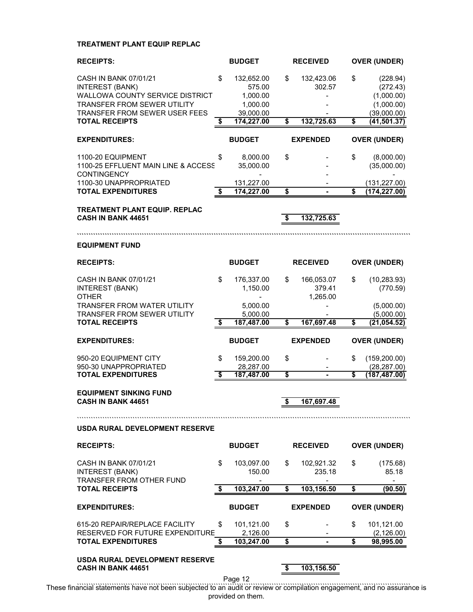## **TREATMENT PLANT EQUIP REPLAC**

| <b>RECEIPTS:</b>                                                                          | <b>BUDGET</b>                                            | <b>RECEIVED</b>                        | <b>OVER (UNDER)</b>                                     |
|-------------------------------------------------------------------------------------------|----------------------------------------------------------|----------------------------------------|---------------------------------------------------------|
| CASH IN BANK 07/01/21<br><b>INTEREST (BANK)</b><br><b>WALLOWA COUNTY SERVICE DISTRICT</b> | \$<br>132,652.00<br>575.00<br>1,000.00                   | \$<br>132,423.06<br>302.57             | \$<br>(228.94)<br>(272.43)<br>(1,000.00)                |
| TRANSFER FROM SEWER UTILITY<br><b>TRANSFER FROM SEWER USER FEES</b>                       | 1,000.00<br>39,000.00                                    |                                        | (1,000.00)<br>(39,000.00)                               |
| <b>TOTAL RECEIPTS</b>                                                                     | \$<br>174,227.00                                         | \$<br>132,725.63                       | \$<br>(41, 501.37)                                      |
| <b>EXPENDITURES:</b>                                                                      | <b>BUDGET</b>                                            | <b>EXPENDED</b>                        | <b>OVER (UNDER)</b>                                     |
| 1100-20 EQUIPMENT<br>1100-25 EFFLUENT MAIN LINE & ACCESS<br><b>CONTINGENCY</b>            | \$<br>8,000.00<br>35,000.00                              | \$                                     | \$<br>(8,000.00)<br>(35,000.00)                         |
| 1100-30 UNAPPROPRIATED<br><b>TOTAL EXPENDITURES</b>                                       | \$<br>131,227.00<br>174,227.00                           | \$                                     | \$<br>(131, 227.00)<br>(174, 227.00)                    |
| <b>TREATMENT PLANT EQUIP. REPLAC</b><br><b>CASH IN BANK 44651</b>                         |                                                          | \$<br>132,725.63                       |                                                         |
| <b>EQUIPMENT FUND</b>                                                                     |                                                          |                                        |                                                         |
| <b>RECEIPTS:</b>                                                                          | <b>BUDGET</b>                                            | <b>RECEIVED</b>                        | <b>OVER (UNDER)</b>                                     |
| CASH IN BANK 07/01/21<br><b>INTEREST (BANK)</b><br><b>OTHER</b>                           | \$<br>176,337.00<br>1,150.00<br>$\overline{\phantom{0}}$ | \$<br>166,053.07<br>379.41<br>1,265.00 | \$<br>(10, 283.93)<br>(770.59)                          |
| <b>TRANSFER FROM WATER UTILITY</b><br><b>TRANSFER FROM SEWER UTILITY</b>                  | 5,000.00<br>5,000.00                                     |                                        | (5,000.00)<br>(5,000.00)                                |
| <b>TOTAL RECEIPTS</b>                                                                     | \$<br>187,487.00                                         | \$<br>167,697.48                       | \$<br>(21, 054.52)                                      |
| <b>EXPENDITURES:</b>                                                                      | <b>BUDGET</b>                                            | <b>EXPENDED</b>                        | <b>OVER (UNDER)</b>                                     |
| 950-20 EQUIPMENT CITY                                                                     | \$<br>159,200.00<br>28,287.00                            | \$                                     | \$<br>(159, 200.00)                                     |
| 950-30 UNAPPROPRIATED                                                                     |                                                          |                                        | (28, 287.00)<br>(187,487.00)                            |
| <b>TOTAL EXPENDITURES</b>                                                                 | \$<br>187,487.00                                         | \$                                     | \$                                                      |
| <b>EQUIPMENT SINKING FUND</b><br><b>CASH IN BANK 44651</b>                                |                                                          | \$<br>167,697.48                       |                                                         |
|                                                                                           |                                                          |                                        |                                                         |
| USDA RURAL DEVELOPMENT RESERVE                                                            |                                                          |                                        |                                                         |
| <b>RECEIPTS:</b>                                                                          | <b>BUDGET</b>                                            | <b>RECEIVED</b>                        | <b>OVER (UNDER)</b>                                     |
| CASH IN BANK 07/01/21<br><b>INTEREST (BANK)</b><br><b>TRANSFER FROM OTHER FUND</b>        | \$<br>103,097.00<br>150.00<br>-                          | \$<br>102,921.32<br>235.18             | \$<br>(175.68)<br>85.18<br>$\qquad \qquad \blacksquare$ |
| <b>TOTAL RECEIPTS</b>                                                                     | \$<br>103,247.00                                         | \$<br>103,156.50                       | \$<br>(90.50)                                           |
| <b>EXPENDITURES:</b>                                                                      | <b>BUDGET</b>                                            | <b>EXPENDED</b>                        | <b>OVER (UNDER)</b>                                     |
| 615-20 REPAIR/REPLACE FACILITY                                                            | \$<br>101,121.00                                         | \$                                     | \$<br>101,121.00                                        |
| RESERVED FOR FUTURE EXPENDITURE<br><b>TOTAL EXPENDITURES</b>                              | \$<br>2,126.00<br>103,247.00                             | \$                                     | \$<br>(2, 126.00)<br>98,995.00                          |

Page 12

```````````````````````````````````````````````````````````````````````````````````````````````````````````````````````````````````````````````` These financial statements have not been subjected to an audit or review or compilation engagement, and no assurance is provided on them.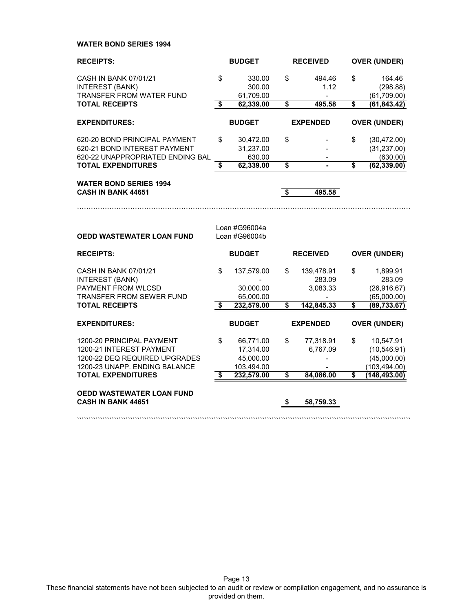**WATER BOND SERIES 1994**

| <b>RECEIPTS:</b>                                                                                                        | <b>BUDGET</b>                        |                                                   |                                      | <b>RECEIVED</b>                  |    | <b>OVER (UNDER)</b>                                       |  |
|-------------------------------------------------------------------------------------------------------------------------|--------------------------------------|---------------------------------------------------|--------------------------------------|----------------------------------|----|-----------------------------------------------------------|--|
| CASH IN BANK 07/01/21<br><b>INTEREST (BANK)</b><br><b>TRANSFER FROM WATER FUND</b>                                      | \$                                   | 330.00<br>300.00<br>61,709.00                     | \$                                   | 494.46<br>1.12                   | \$ | 164.46<br>(298.88)<br>(61,709.00)                         |  |
| <b>TOTAL RECEIPTS</b>                                                                                                   | $\overline{\boldsymbol{\mathsf{s}}}$ | 62,339.00                                         | \$                                   | 495.58                           | \$ | (61, 843.42)                                              |  |
| <b>EXPENDITURES:</b>                                                                                                    |                                      | <b>BUDGET</b>                                     |                                      | <b>EXPENDED</b>                  |    | <b>OVER (UNDER)</b>                                       |  |
| 620-20 BOND PRINCIPAL PAYMENT<br>620-21 BOND INTEREST PAYMENT<br>620-22 UNAPPROPRIATED ENDING BAL                       | \$                                   | 30,472.00<br>31,237.00<br>630.00                  | \$                                   |                                  | \$ | (30, 472.00)<br>(31, 237.00)<br>(630.00)                  |  |
| <b>TOTAL EXPENDITURES</b>                                                                                               | $\overline{\mathbf{s}}$              | 62,339.00                                         | \$                                   |                                  | s  | (62, 339.00)                                              |  |
| <b>WATER BOND SERIES 1994</b><br><b>CASH IN BANK 44651</b>                                                              |                                      |                                                   | $\overline{\boldsymbol{\mathsf{s}}}$ | 495.58                           |    |                                                           |  |
|                                                                                                                         |                                      |                                                   |                                      |                                  |    |                                                           |  |
| OEDD WASTEWATER LOAN FUND                                                                                               |                                      | Loan #G96004a<br>Loan #G96004b                    |                                      |                                  |    |                                                           |  |
| <b>RECEIPTS:</b>                                                                                                        |                                      | <b>BUDGET</b>                                     |                                      | <b>RECEIVED</b>                  |    | <b>OVER (UNDER)</b>                                       |  |
| CASH IN BANK 07/01/21<br><b>INTEREST (BANK)</b><br>PAYMENT FROM WLCSD<br>TRANSFER FROM SEWER FUND                       | \$                                   | 137,579.00<br>30,000.00<br>65,000.00              | \$                                   | 139,478.91<br>283.09<br>3,083.33 | \$ | 1,899.91<br>283.09<br>(26, 916.67)<br>(65,000.00)         |  |
| <b>TOTAL RECEIPTS</b>                                                                                                   | S                                    | 232,579.00                                        | \$                                   | 142,845.33                       | \$ | (89, 733.67)                                              |  |
| <b>EXPENDITURES:</b>                                                                                                    |                                      | <b>BUDGET</b>                                     |                                      | <b>EXPENDED</b>                  |    | <b>OVER (UNDER)</b>                                       |  |
| 1200-20 PRINCIPAL PAYMENT<br>1200-21 INTEREST PAYMENT<br>1200-22 DEQ REQUIRED UPGRADES<br>1200-23 UNAPP. ENDING BALANCE | \$                                   | 66,771.00<br>17,314.00<br>45,000.00<br>103,494.00 | \$                                   | 77,318.91<br>6,767.09            | \$ | 10,547.91<br>(10, 546.91)<br>(45,000.00)<br>(103, 494.00) |  |
| <b>TOTAL EXPENDITURES</b>                                                                                               | $\overline{\mathbf{s}}$              | 232,579.00                                        | $\overline{\mathbf{s}}$              | 84,086.00                        | S  | (148, 493.00)                                             |  |
| <b>OEDD WASTEWATER LOAN FUND</b><br><b>CASH IN BANK 44651</b>                                                           |                                      |                                                   | \$                                   | 58,759.33                        |    |                                                           |  |
|                                                                                                                         |                                      |                                                   |                                      |                                  |    |                                                           |  |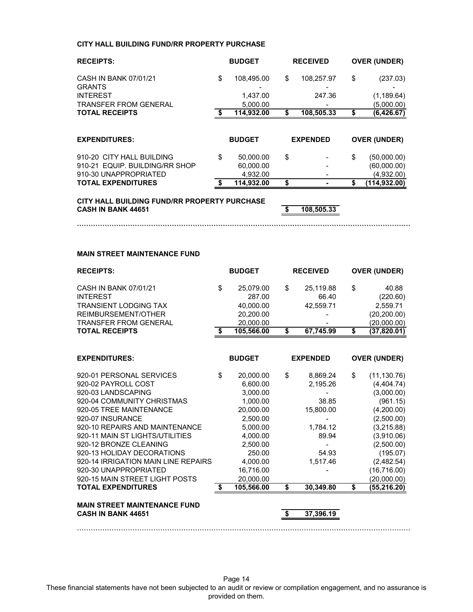### **CITY HALL BUILDING FUND/RR PROPERTY PURCHASE**

| <b>RECEIPTS:</b>                                            | <b>BUDGET</b>                |    | <b>RECEIVED</b> |    | <b>OVER (UNDER)</b>        |
|-------------------------------------------------------------|------------------------------|----|-----------------|----|----------------------------|
| CASH IN BANK 07/01/21<br><b>GRANTS</b>                      | \$<br>108.495.00             | \$ | 108,257.97      | \$ | (237.03)                   |
| <b>INTEREST</b>                                             | 1,437.00                     |    | 247.36          |    | (1, 189.64)                |
| <b>TRANSFER FROM GENERAL</b>                                | 5,000.00                     |    |                 |    | (5,000.00)                 |
| <b>TOTAL RECEIPTS</b>                                       | 114,932.00                   | S  | 108,505.33      | S  | (6,426.67)                 |
| <b>EXPENDITURES:</b>                                        | <b>BUDGET</b>                |    | <b>EXPENDED</b> |    | <b>OVER (UNDER)</b>        |
| 910-20 CITY HALL BUILDING<br>910-21 EQUIP, BUILDING/RR SHOP | \$<br>50,000.00<br>60,000.00 | \$ |                 | \$ | (50,000.00)<br>(60,000.00) |
| 910-30 UNAPPROPRIATED<br><b>TOTAL EXPENDITURES</b>          | 4,932.00<br>114.932.00       | \$ |                 |    | (4,932.00)<br>(114,932.00) |

**````````````````````````````````````````````````````````````````````````````````````````````````````````````````````````````````````````````````**

**CITY HALL BUILDING FUND/RR PROPERTY PURCHASE CASH IN BANK 44651 108,505.33** 

#### **MAIN STREET MAINTENANCE FUND**

| <b>RECEIPTS:</b>                         | <b>BUDGET</b> |                     | <b>RECEIVED</b>          |    | <b>OVER (UNDER)</b> |  |
|------------------------------------------|---------------|---------------------|--------------------------|----|---------------------|--|
| CASH IN BANK 07/01/21<br><b>INTEREST</b> | \$            | 25,079.00<br>287.00 | \$<br>25,119.88<br>66.40 | \$ | 40.88<br>(220.60)   |  |
| <b>TRANSIENT LODGING TAX</b>             |               | 40.000.00           | 42,559.71                |    | 2,559.71            |  |
| REIMBURSEMENT/OTHER                      |               | 20,200.00           |                          |    | (20, 200.00)        |  |
| <b>TRANSFER FROM GENERAL</b>             |               | 20,000.00           |                          |    | (20,000.00)         |  |
| <b>TOTAL RECEIPTS</b>                    | S.            | 105,566.00          | \$<br>67,745.99          | \$ | (37,820.01)         |  |
|                                          |               |                     |                          |    |                     |  |
| <b>EXPENDITURES:</b>                     |               | <b>BUDGET</b>       | <b>EXPENDED</b>          |    | <b>OVER (UNDER)</b> |  |
| 920-01 PERSONAL SERVICES                 | \$            | 20,000.00           | \$<br>8,869.24           | \$ | (11, 130.76)        |  |
| 920-02 PAYROLL COST                      |               | 6,600.00            | 2,195.26                 |    | (4, 404.74)         |  |
| 920-03 LANDSCAPING                       |               | 3,000.00            |                          |    | (3,000.00)          |  |
| 920-04 COMMUNITY CHRISTMAS               |               | 1,000.00            | 38.85                    |    | (961.15)            |  |
| 920-05 TREE MAINTENANCE                  |               | 20,000.00           | 15,800.00                |    | (4,200.00)          |  |
| 920-07 INSURANCE                         |               | 2,500.00            |                          |    | (2,500.00)          |  |
| 920-10 REPAIRS AND MAINTENANCE           |               | 5,000.00            | 1.784.12                 |    | (3,215.88)          |  |
| 920-11 MAIN ST LIGHTS/UTILITIES          |               | 4,000.00            | 89.94                    |    | (3,910.06)          |  |
| 920-12 BRONZE CLEANING                   |               | 2,500.00            |                          |    | (2,500.00)          |  |
| 920-13 HOLIDAY DECORATIONS               |               | 250.00              | 54.93                    |    | (195.07)            |  |
| 920-14 IRRIGATION MAIN LINE REPAIRS      |               | 4,000.00            | 1,517.46                 |    | (2,482.54)          |  |
| 920-30 UNAPPROPRIATED                    |               | 16,716.00           |                          |    | (16, 716.00)        |  |
| 920-15 MAIN STREET LIGHT POSTS           |               | 20,000.00           |                          |    | (20,000.00)         |  |
| <b>TOTAL EXPENDITURES</b>                | \$            | 105,566.00          | \$<br>30,349.80          | \$ | (55, 216.20)        |  |
| <b>MAIN STREET MAINTENANCE FUND</b>      |               |                     |                          |    |                     |  |
| CASH IN BANK 44651                       |               |                     | 37,396.19                |    |                     |  |
|                                          |               |                     |                          |    |                     |  |

Page 14 These financial statements have not been subjected to an audit or review or compilation engagement, and no assurance is provided on them.